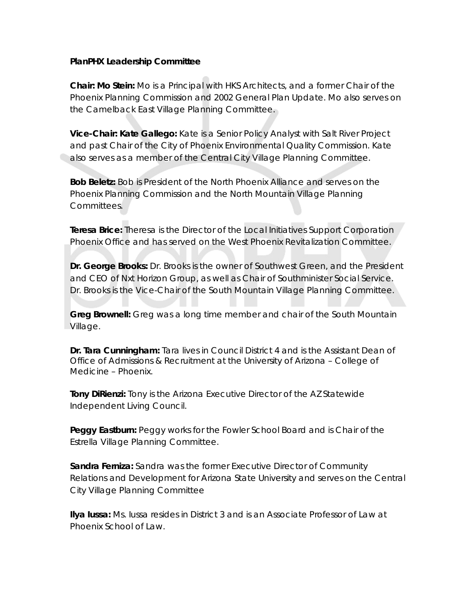## **PlanPHX Leadership Committee**

**Chair: Mo Stein:** Mo is a Principal with HKS Architects, and a former Chair of the Phoenix Planning Commission and 2002 General Plan Update. Mo also serves on the Camelback East Village Planning Committee.

**Vice-Chair: Kate Gallego:** Kate is a Senior Policy Analyst with Salt River Project and past Chair of the City of Phoenix Environmental Quality Commission. Kate also serves as a member of the Central City Village Planning Committee.

**Bob Beletz:** Bob is President of the North Phoenix Alliance and serves on the Phoenix Planning Commission and the North Mountain Village Planning Committees.

**Teresa Brice:** Theresa is the Director of the Local Initiatives Support Corporation Phoenix Office and has served on the West Phoenix Revitalization Committee.

**Dr. George Brooks:** Dr. Brooks is the owner of Southwest Green, and the President and CEO of Nxt Horizon Group, as well as Chair of Southminister Social Service. Dr. Brooks is the Vice-Chair of the South Mountain Village Planning Committee.

**Greg Brownell:** Greg was a long time member and chair of the South Mountain Village.

**Dr. Tara Cunningham:** Tara lives in Council District 4 and is the Assistant Dean of Office of Admissions & Recruitment at the University of Arizona – College of Medicine – Phoenix.

**Tony DiRienzi:** Tony is the Arizona Executive Director of the AZ Statewide Independent Living Council.

**Peggy Eastburn:** Peggy works for the Fowler School Board and is Chair of the Estrella Village Planning Committee.

**Sandra Ferniza:** Sandra was the former Executive Director of Community Relations and Development for Arizona State University and serves on the Central City Village Planning Committee

**Ilya Iussa:** Ms. Iussa resides in District 3 and is an Associate Professor of Law at Phoenix School of Law.